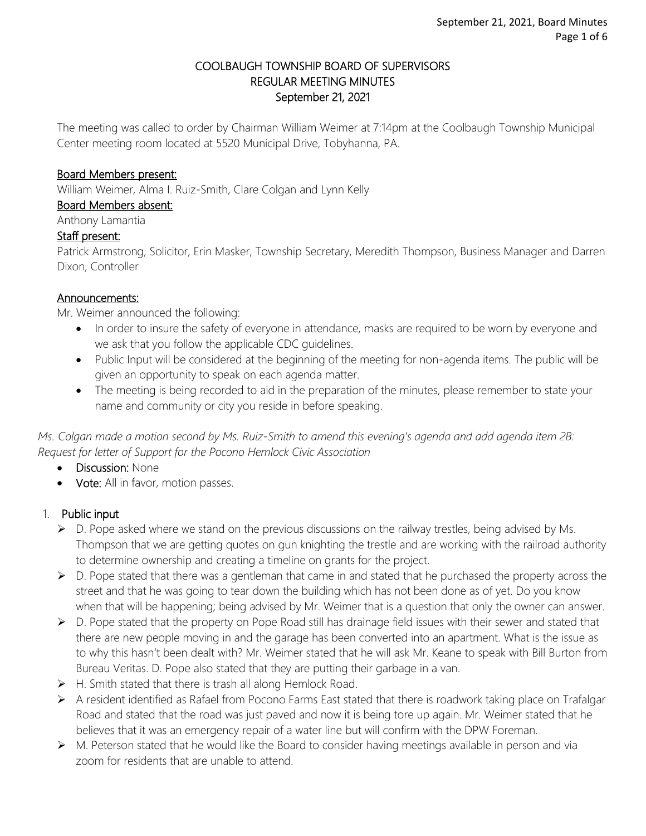## COOLBAUGH TOWNSHIP BOARD OF SUPERVISORS REGULAR MEETING MINUTES September 21, 2021

The meeting was called to order by Chairman William Weimer at 7:14pm at the Coolbaugh Township Municipal Center meeting room located at 5520 Municipal Drive, Tobyhanna, PA.

#### Board Members present:

William Weimer, Alma I. Ruiz-Smith, Clare Colgan and Lynn Kelly

Board Members absent:

Anthony Lamantia

#### Staff present:

Patrick Armstrong, Solicitor, Erin Masker, Township Secretary, Meredith Thompson, Business Manager and Darren Dixon, Controller

#### Announcements:

Mr. Weimer announced the following:

- In order to insure the safety of everyone in attendance, masks are required to be worn by everyone and we ask that you follow the applicable CDC guidelines.
- Public Input will be considered at the beginning of the meeting for non-agenda items. The public will be given an opportunity to speak on each agenda matter.
- The meeting is being recorded to aid in the preparation of the minutes, please remember to state your name and community or city you reside in before speaking.

*Ms. Colgan made a motion second by Ms. Ruiz-Smith to amend this evening's agenda and add agenda item 2B: Request for letter of Support for the Pocono Hemlock Civic Association*

- Discussion: None
- Vote: All in favor, motion passes.

### 1. Public input

- $\triangleright$  D. Pope asked where we stand on the previous discussions on the railway trestles, being advised by Ms. Thompson that we are getting quotes on gun knighting the trestle and are working with the railroad authority to determine ownership and creating a timeline on grants for the project.
- $\triangleright$  D. Pope stated that there was a gentleman that came in and stated that he purchased the property across the street and that he was going to tear down the building which has not been done as of yet. Do you know when that will be happening; being advised by Mr. Weimer that is a question that only the owner can answer.
- $\triangleright$  D. Pope stated that the property on Pope Road still has drainage field issues with their sewer and stated that there are new people moving in and the garage has been converted into an apartment. What is the issue as to why this hasn't been dealt with? Mr. Weimer stated that he will ask Mr. Keane to speak with Bill Burton from Bureau Veritas. D. Pope also stated that they are putting their garbage in a van.
- $\triangleright$  H. Smith stated that there is trash all along Hemlock Road.
- $\triangleright$  A resident identified as Rafael from Pocono Farms East stated that there is roadwork taking place on Trafalgar Road and stated that the road was just paved and now it is being tore up again. Mr. Weimer stated that he believes that it was an emergency repair of a water line but will confirm with the DPW Foreman.
- $\triangleright$  M. Peterson stated that he would like the Board to consider having meetings available in person and via zoom for residents that are unable to attend.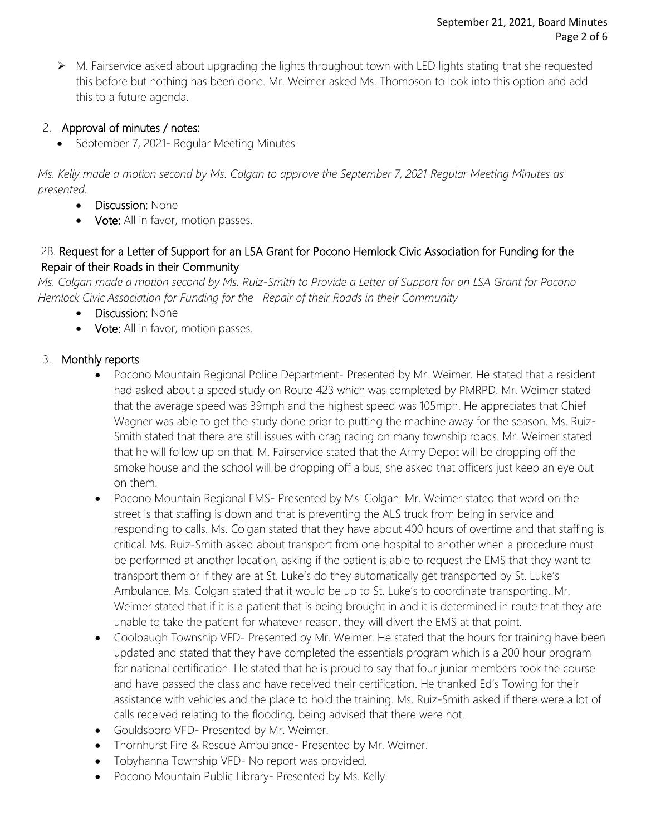▶ M. Fairservice asked about upgrading the lights throughout town with LED lights stating that she requested this before but nothing has been done. Mr. Weimer asked Ms. Thompson to look into this option and add this to a future agenda.

## 2. Approval of minutes / notes:

• September 7, 2021- Regular Meeting Minutes

*Ms. Kelly made a motion second by Ms. Colgan to approve the September 7, 2021 Regular Meeting Minutes as presented.*

- Discussion: None
- Vote: All in favor, motion passes.

# 2B. Request for a Letter of Support for an LSA Grant for Pocono Hemlock Civic Association for Funding for the Repair of their Roads in their Community

*Ms. Colgan made a motion second by Ms. Ruiz-Smith to Provide a Letter of Support for an LSA Grant for Pocono Hemlock Civic Association for Funding for the Repair of their Roads in their Community*

- Discussion: None
- Vote: All in favor, motion passes.

## 3. Monthly reports

- Pocono Mountain Regional Police Department- Presented by Mr. Weimer. He stated that a resident had asked about a speed study on Route 423 which was completed by PMRPD. Mr. Weimer stated that the average speed was 39mph and the highest speed was 105mph. He appreciates that Chief Wagner was able to get the study done prior to putting the machine away for the season. Ms. Ruiz-Smith stated that there are still issues with drag racing on many township roads. Mr. Weimer stated that he will follow up on that. M. Fairservice stated that the Army Depot will be dropping off the smoke house and the school will be dropping off a bus, she asked that officers just keep an eye out on them.
- Pocono Mountain Regional EMS- Presented by Ms. Colgan. Mr. Weimer stated that word on the street is that staffing is down and that is preventing the ALS truck from being in service and responding to calls. Ms. Colgan stated that they have about 400 hours of overtime and that staffing is critical. Ms. Ruiz-Smith asked about transport from one hospital to another when a procedure must be performed at another location, asking if the patient is able to request the EMS that they want to transport them or if they are at St. Luke's do they automatically get transported by St. Luke's Ambulance. Ms. Colgan stated that it would be up to St. Luke's to coordinate transporting. Mr. Weimer stated that if it is a patient that is being brought in and it is determined in route that they are unable to take the patient for whatever reason, they will divert the EMS at that point.
- Coolbaugh Township VFD- Presented by Mr. Weimer. He stated that the hours for training have been updated and stated that they have completed the essentials program which is a 200 hour program for national certification. He stated that he is proud to say that four junior members took the course and have passed the class and have received their certification. He thanked Ed's Towing for their assistance with vehicles and the place to hold the training. Ms. Ruiz-Smith asked if there were a lot of calls received relating to the flooding, being advised that there were not.
- Gouldsboro VFD- Presented by Mr. Weimer.
- Thornhurst Fire & Rescue Ambulance- Presented by Mr. Weimer.
- Tobyhanna Township VFD- No report was provided.
- Pocono Mountain Public Library- Presented by Ms. Kelly.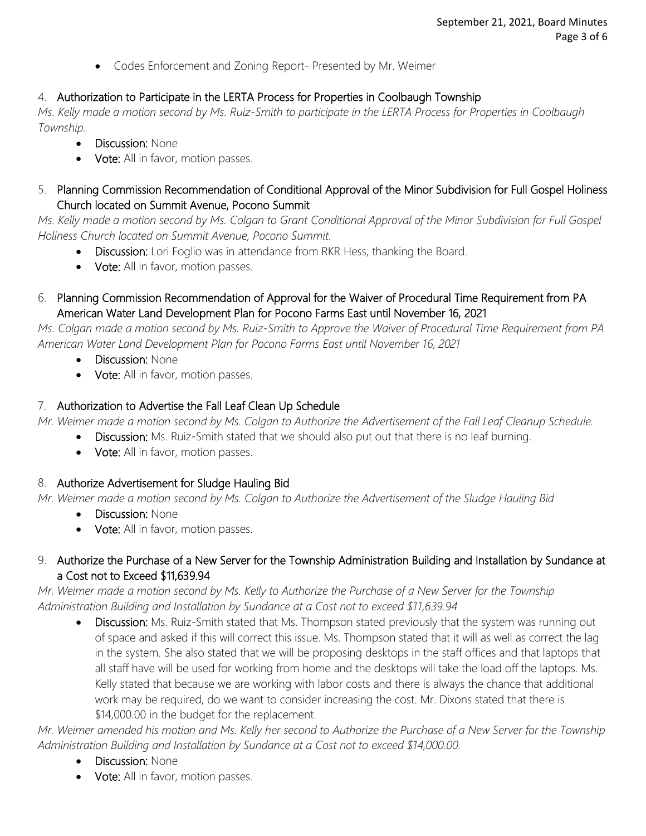Codes Enforcement and Zoning Report- Presented by Mr. Weimer

## 4. Authorization to Participate in the LERTA Process for Properties in Coolbaugh Township

*Ms. Kelly made a motion second by Ms. Ruiz-Smith to participate in the LERTA Process for Properties in Coolbaugh Township.* 

- Discussion: None
- Vote: All in favor, motion passes.
- 5. Planning Commission Recommendation of Conditional Approval of the Minor Subdivision for Full Gospel Holiness Church located on Summit Avenue, Pocono Summit

*Ms. Kelly made a motion second by Ms. Colgan to Grant Conditional Approval of the Minor Subdivision for Full Gospel Holiness Church located on Summit Avenue, Pocono Summit.*

- Discussion: Lori Foglio was in attendance from RKR Hess, thanking the Board.
- Vote: All in favor, motion passes.
- 6. Planning Commission Recommendation of Approval for the Waiver of Procedural Time Requirement from PA American Water Land Development Plan for Pocono Farms East until November 16, 2021

*Ms. Colgan made a motion second by Ms. Ruiz-Smith to Approve the Waiver of Procedural Time Requirement from PA American Water Land Development Plan for Pocono Farms East until November 16, 2021*

- Discussion: None
- Vote: All in favor, motion passes.

## 7. Authorization to Advertise the Fall Leaf Clean Up Schedule

*Mr. Weimer made a motion second by Ms. Colgan to Authorize the Advertisement of the Fall Leaf Cleanup Schedule.*

- Discussion: Ms. Ruiz-Smith stated that we should also put out that there is no leaf burning.
- Vote: All in favor, motion passes.

### 8. Authorize Advertisement for Sludge Hauling Bid

*Mr. Weimer made a motion second by Ms. Colgan to Authorize the Advertisement of the Sludge Hauling Bid*

- Discussion: None
- Vote: All in favor, motion passes.

# 9. Authorize the Purchase of a New Server for the Township Administration Building and Installation by Sundance at a Cost not to Exceed \$11,639.94

*Mr. Weimer made a motion second by Ms. Kelly to Authorize the Purchase of a New Server for the Township Administration Building and Installation by Sundance at a Cost not to exceed \$11,639.94*

Discussion: Ms. Ruiz-Smith stated that Ms. Thompson stated previously that the system was running out of space and asked if this will correct this issue. Ms. Thompson stated that it will as well as correct the lag in the system. She also stated that we will be proposing desktops in the staff offices and that laptops that all staff have will be used for working from home and the desktops will take the load off the laptops. Ms. Kelly stated that because we are working with labor costs and there is always the chance that additional work may be required, do we want to consider increasing the cost. Mr. Dixons stated that there is \$14,000.00 in the budget for the replacement.

*Mr. Weimer amended his motion and Ms. Kelly her second to Authorize the Purchase of a New Server for the Township Administration Building and Installation by Sundance at a Cost not to exceed \$14,000.00.*

- Discussion: None
- Vote: All in favor, motion passes.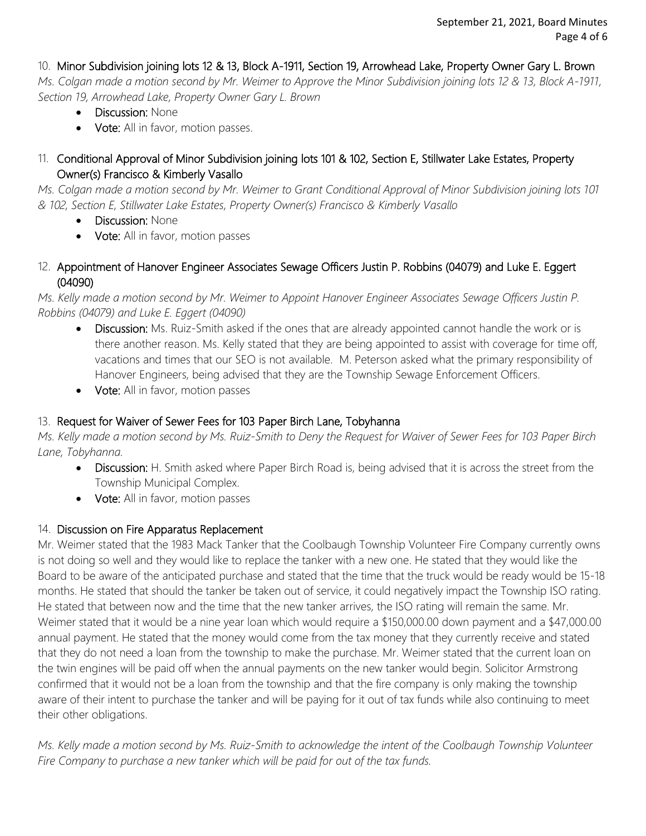#### 10. Minor Subdivision joining lots 12 & 13, Block A-1911, Section 19, Arrowhead Lake, Property Owner Gary L. Brown

*Ms. Colgan made a motion second by Mr. Weimer to Approve the Minor Subdivision joining lots 12 & 13, Block A-1911, Section 19, Arrowhead Lake, Property Owner Gary L. Brown*

- Discussion: None
- Vote: All in favor, motion passes.

# 11. Conditional Approval of Minor Subdivision joining lots 101 & 102, Section E, Stillwater Lake Estates, Property Owner(s) Francisco & Kimberly Vasallo

*Ms. Colgan made a motion second by Mr. Weimer to Grant Conditional Approval of Minor Subdivision joining lots 101 & 102, Section E, Stillwater Lake Estates, Property Owner(s) Francisco & Kimberly Vasallo*

- Discussion: None
- Vote: All in favor, motion passes
- 12. Appointment of Hanover Engineer Associates Sewage Officers Justin P. Robbins (04079) and Luke E. Eggert (04090)

*Ms. Kelly made a motion second by Mr. Weimer to Appoint Hanover Engineer Associates Sewage Officers Justin P. Robbins (04079) and Luke E. Eggert (04090)*

- Discussion: Ms. Ruiz-Smith asked if the ones that are already appointed cannot handle the work or is there another reason. Ms. Kelly stated that they are being appointed to assist with coverage for time off, vacations and times that our SEO is not available. M. Peterson asked what the primary responsibility of Hanover Engineers, being advised that they are the Township Sewage Enforcement Officers.
- Vote: All in favor, motion passes

# 13. Request for Waiver of Sewer Fees for 103 Paper Birch Lane, Tobyhanna

*Ms. Kelly made a motion second by Ms. Ruiz-Smith to Deny the Request for Waiver of Sewer Fees for 103 Paper Birch Lane, Tobyhanna.*

- Discussion: H. Smith asked where Paper Birch Road is, being advised that it is across the street from the Township Municipal Complex.
- Vote: All in favor, motion passes

### 14. Discussion on Fire Apparatus Replacement

Mr. Weimer stated that the 1983 Mack Tanker that the Coolbaugh Township Volunteer Fire Company currently owns is not doing so well and they would like to replace the tanker with a new one. He stated that they would like the Board to be aware of the anticipated purchase and stated that the time that the truck would be ready would be 15-18 months. He stated that should the tanker be taken out of service, it could negatively impact the Township ISO rating. He stated that between now and the time that the new tanker arrives, the ISO rating will remain the same. Mr. Weimer stated that it would be a nine year loan which would require a \$150,000.00 down payment and a \$47,000.00 annual payment. He stated that the money would come from the tax money that they currently receive and stated that they do not need a loan from the township to make the purchase. Mr. Weimer stated that the current loan on the twin engines will be paid off when the annual payments on the new tanker would begin. Solicitor Armstrong confirmed that it would not be a loan from the township and that the fire company is only making the township aware of their intent to purchase the tanker and will be paying for it out of tax funds while also continuing to meet their other obligations.

*Ms. Kelly made a motion second by Ms. Ruiz-Smith to acknowledge the intent of the Coolbaugh Township Volunteer Fire Company to purchase a new tanker which will be paid for out of the tax funds.*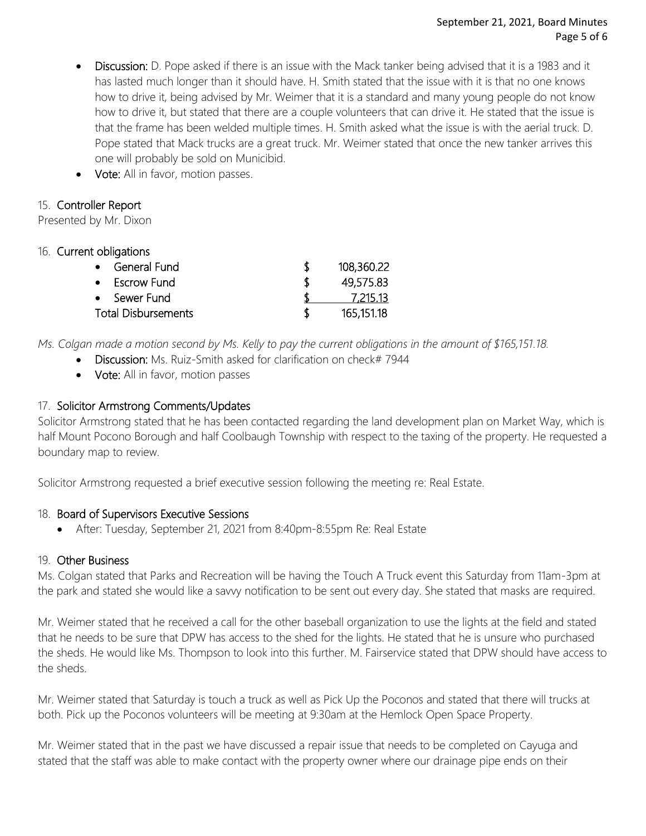- Discussion: D. Pope asked if there is an issue with the Mack tanker being advised that it is a 1983 and it has lasted much longer than it should have. H. Smith stated that the issue with it is that no one knows how to drive it, being advised by Mr. Weimer that it is a standard and many young people do not know how to drive it, but stated that there are a couple volunteers that can drive it. He stated that the issue is that the frame has been welded multiple times. H. Smith asked what the issue is with the aerial truck. D. Pope stated that Mack trucks are a great truck. Mr. Weimer stated that once the new tanker arrives this one will probably be sold on Municibid.
- Vote: All in favor, motion passes.

## 15. Controller Report

Presented by Mr. Dixon

|  | 16. Current obligations |
|--|-------------------------|
|  |                         |

|                            | • General Fund | 108,360.22 |
|----------------------------|----------------|------------|
|                            | • Escrow Fund  | 49,575.83  |
|                            | • Sewer Fund   | 7,215.13   |
| <b>Total Disbursements</b> |                | 165,151.18 |

*Ms. Colgan made a motion second by Ms. Kelly to pay the current obligations in the amount of \$165,151.18.*

- Discussion: Ms. Ruiz-Smith asked for clarification on check# 7944
- Vote: All in favor, motion passes

## 17. Solicitor Armstrong Comments/Updates

Solicitor Armstrong stated that he has been contacted regarding the land development plan on Market Way, which is half Mount Pocono Borough and half Coolbaugh Township with respect to the taxing of the property. He requested a boundary map to review.

Solicitor Armstrong requested a brief executive session following the meeting re: Real Estate.

# 18. Board of Supervisors Executive Sessions

After: Tuesday, September 21, 2021 from 8:40pm-8:55pm Re: Real Estate

# 19. Other Business

Ms. Colgan stated that Parks and Recreation will be having the Touch A Truck event this Saturday from 11am-3pm at the park and stated she would like a savvy notification to be sent out every day. She stated that masks are required.

Mr. Weimer stated that he received a call for the other baseball organization to use the lights at the field and stated that he needs to be sure that DPW has access to the shed for the lights. He stated that he is unsure who purchased the sheds. He would like Ms. Thompson to look into this further. M. Fairservice stated that DPW should have access to the sheds.

Mr. Weimer stated that Saturday is touch a truck as well as Pick Up the Poconos and stated that there will trucks at both. Pick up the Poconos volunteers will be meeting at 9:30am at the Hemlock Open Space Property.

Mr. Weimer stated that in the past we have discussed a repair issue that needs to be completed on Cayuga and stated that the staff was able to make contact with the property owner where our drainage pipe ends on their